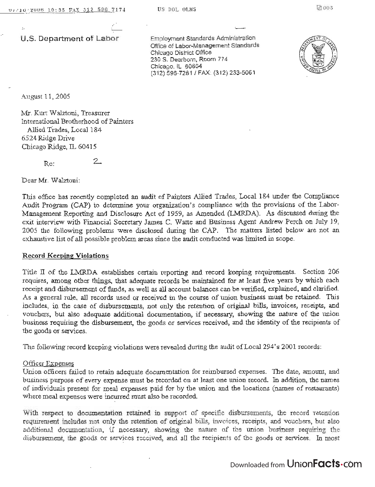U.S. Department of Labor

Employment Standards Administration Office of Laborator Management Standards Additional Standards Office of Labor-Management Standards<br>Chicago District Office  $\alpha$ 30 District Office ou S. Dearborn, Roc (312) 596-7281/ FAX: (312) 233-5061



August 11, 2005

Mr. Kurt Walztoni, Treasurer International Brotherhood of Painters Allied Trades, Local 184 6524 Ridge Drive Chicago Ridge, IL 60415

 $2.$ 

Re:

Dear Mr. Walztoni:

This office has recently completed an audit of Painters Allied Trades, Local 184 under the Compliance Audit Program (CAP) to determine your organization's compliance with the provisions of the Labor-Management Reporting and Disclosure Act of 1959, as Amended (LMRDA). As discussed during the exit interview with Financial Secretary James C. Watte and Business Agent Andrew Perch on July 19, 2005 the following problems were disclosed during the CAP. The matters listed below are not an exhaustive list of all possible problem areas since the audit conducted was limited in scope.

## Record Keeping Violations

Title II of the LMRDA establishes certain reporting and record keeping requirements. Section 206 requires, among other things, that adequate records be maintained for at least five years by which each receipt and disbursement of funds, as well as all account balances can be verified, explained, and clarified. As a general rule, all records used or received in the course of union business must be retained. This includes, in the case of disbursements, not only the retention of original bills, invoices, receipts, and vouchers, but also adequate additional documentation, if necessary, showing the nature of the union business requiring the disbursement, the goods or services received, and the identity of the recipients of the goods or services.

The following record keeping violations were revealed during the audit of Local 294's 2001 records:

## Officer Expenses

Union officers failed to retain adequate documentation for reimbursed expenses. The date, amount, and business purpose of every expense must be recorded On at least one union record. In addition, the names of individuals present for meal expenses paid for by the union and the locations (names of r estaurants) where meal expenses were incurred must also be recorded.

With respect to documentation retained in support of specific disbursements, the record retention requirement includes not only the retention of original bills, invoices, receipts, and vouchers, but also additional documentation, if necessary, showing the nature of the union business requiring the disbursement, the goods Or services received, and all the recipients of the goods or services. In most